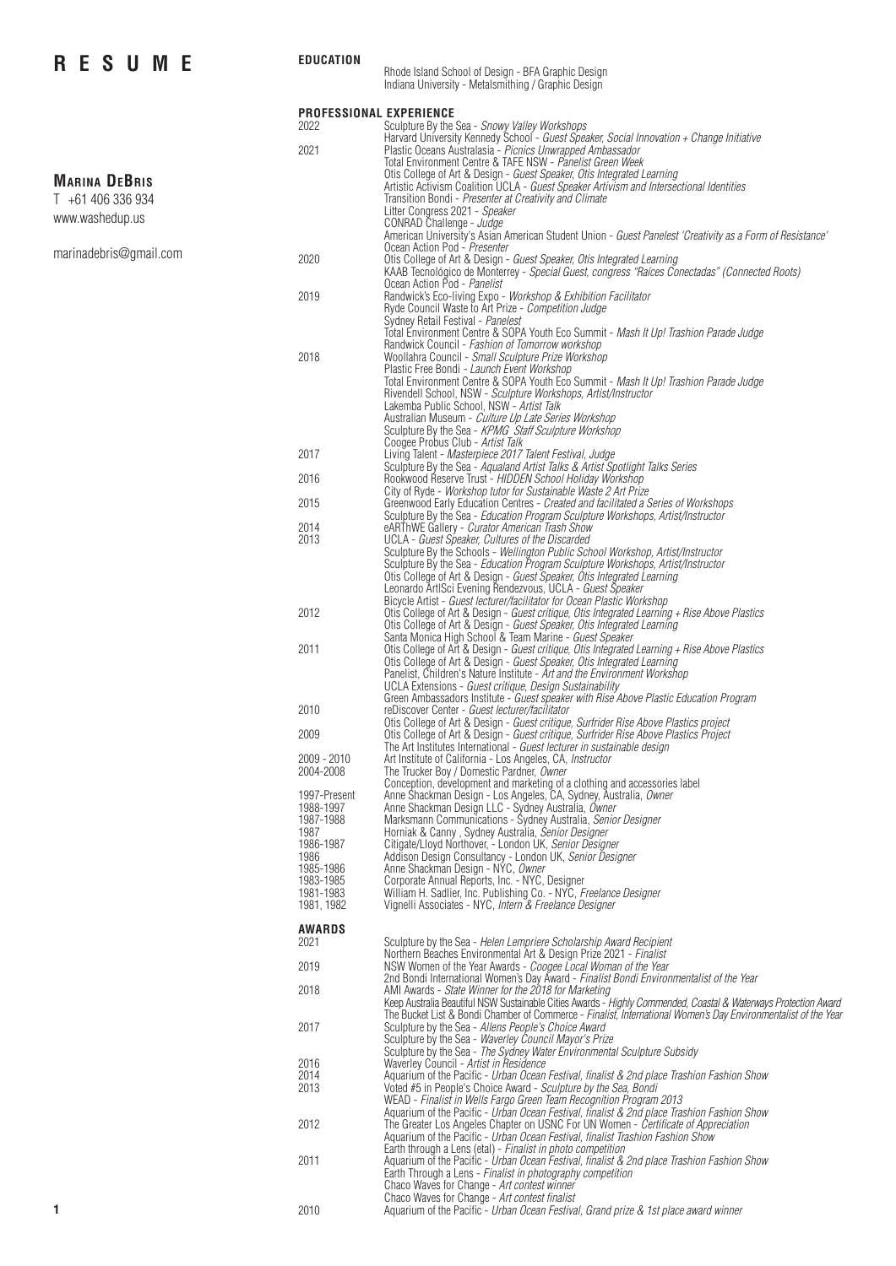## **RESUME**

**EDUCATION**

## Rhode Island School of Design - BFA Graphic Design

Indiana University - Metalsmithing / Graphic Design

|                                           | <b>PROFESSIONAL EXPERIENCE</b><br>2022                                           | Sculpture By the Sea - Snowy Valley Workshops                                                                                                                                                                                                                                                                                                                                                                                          |
|-------------------------------------------|----------------------------------------------------------------------------------|----------------------------------------------------------------------------------------------------------------------------------------------------------------------------------------------------------------------------------------------------------------------------------------------------------------------------------------------------------------------------------------------------------------------------------------|
|                                           | 2021                                                                             | Harvard University Kennedy School - Guest Speaker, Social Innovation + Change Initiative<br>Plastic Oceans Australasia - Picnics Unwrapped Ambassador                                                                                                                                                                                                                                                                                  |
|                                           |                                                                                  | Total Environment Centre & TAFE NSW - Panelist Green Week<br>Otis College of Art & Design - Guest Speaker, Otis Integrated Learning                                                                                                                                                                                                                                                                                                    |
| <b>MARINA DEBRIS</b><br>T +61 406 336 934 |                                                                                  | Artistic Activism Coalition UCLA - Guest Speaker Artivism and Intersectional Identities<br>Transition Bondi - Presenter at Creativity and Climate                                                                                                                                                                                                                                                                                      |
| www.washedup.us                           |                                                                                  | Litter Congress 2021 - Speaker<br>CONRAD Challenge - Judge                                                                                                                                                                                                                                                                                                                                                                             |
|                                           |                                                                                  | American University's Asian American Student Union - Guest Panelest 'Creativity as a Form of Resistance'                                                                                                                                                                                                                                                                                                                               |
| marinadebris@gmail.com                    | 2020                                                                             | Ocean Action Pod - Presenter<br>Otis College of Art & Design - Guest Speaker, Otis Integrated Learning<br>KAAB Tecnológico de Monterrey - Special Guest, congress "Raíces Conectadas" (Connected Roots)                                                                                                                                                                                                                                |
|                                           | 2019                                                                             | Ocean Action Pod - Panelist<br>Randwick's Eco-living Expo - Workshop & Exhibition Facilitator                                                                                                                                                                                                                                                                                                                                          |
|                                           |                                                                                  | Ryde Council Waste to Art Prize - Competition Judge<br>Sydney Retail Festival - Panelest<br>Total Environment Centre & SOPA Youth Eco Summit - Mash It Up! Trashion Parade Judge                                                                                                                                                                                                                                                       |
|                                           | 2018                                                                             | Randwick Council - Fashion of Tomorrow workshop<br>Woollahra Council - Small Sculpture Prize Workshop                                                                                                                                                                                                                                                                                                                                  |
|                                           |                                                                                  | Plastic Free Bondi - Launch Event Workshop<br>Total Environment Centre & SOPA Youth Eco Summit - Mash It Up! Trashion Parade Judge<br>Rivendell School, NSW - Sculpture Workshops, Artist/Instructor<br>Lakemba Public School, NSW - Artist Talk<br>Australian Museum - Culture Up Late Series Workshop                                                                                                                                |
|                                           |                                                                                  | Sculpture By the Sea - KPMG Staff Sculpture Workshop<br>Coogee Probus Club - Artist Talk                                                                                                                                                                                                                                                                                                                                               |
|                                           | 2017                                                                             | Living Talent - Masterpiece 2017 Talent Festival, Judge<br>Sculpture By the Sea - Aqualand Artist Talks & Artist Spotlight Talks Series                                                                                                                                                                                                                                                                                                |
|                                           | 2016                                                                             | Rookwood Reserve Trust - HIDDEN School Holiday Workshop<br>City of Ryde - Workshop tutor for Sustainable Waste 2 Art Prize                                                                                                                                                                                                                                                                                                             |
|                                           | 2015                                                                             | Greenwood Early Education Centres - Created and facilitated a Series of Workshops<br>Sculpture By the Sea - Education Program Sculpture Workshops, Artist/Instructor                                                                                                                                                                                                                                                                   |
|                                           | 2014                                                                             | eARThWE Gallery - Curator American Trash Show                                                                                                                                                                                                                                                                                                                                                                                          |
|                                           | 2013                                                                             | UCLA - Guest Speaker, Cultures of the Discarded<br>Sculpture By the Schools - Wellington Public School Workshop, Artist/Instructor<br>Sculpture By the Sea - Education Program Sculpture Workshops, Artist/Instructor<br>Otis College of Art & Design - Guest Speaker, Otis Integrated Learning<br>Leonardo ArtISci Evening Rendezvous, UCLA - Guest Speaker<br>Bicycle Artist - Guest lecturer/facilitator for Ocean Plastic Workshop |
|                                           | 2012                                                                             | Otis College of Art & Design - Guest critique, Otis Integrated Learning + Rise Above Plastics<br>Otis College of Art & Design - Guest Speaker, Otis Integrated Learning<br>Santa Monica High School & Team Marine - Guest Speaker                                                                                                                                                                                                      |
|                                           | 2011                                                                             | Otis College of Art & Design - Guest critique, Otis Integrated Learning + Rise Above Plastics<br>Otis College of Art & Design - Guest Speaker, Otis Integrated Learning<br>Panelist, Children's Nature Institute - Art and the Environment Workshop<br>UCLA Extensions - Guest critique, Design Sustainability                                                                                                                         |
|                                           | 2010                                                                             | Green Ambassadors Institute - Guest speaker with Rise Above Plastic Education Program<br>reDiscover Center - Guest lecturer/facilitator                                                                                                                                                                                                                                                                                                |
|                                           | 2009                                                                             | Otis College of Art & Design - Guest critique, Surfrider Rise Above Plastics project<br>Otis College of Art & Design - Guest critique, Surfrider Rise Above Plastics Project<br>The Art Institutes International - Guest lecturer in sustainable design                                                                                                                                                                                |
|                                           | 2009 - 2010<br>2004-2008                                                         | Art Institute of California - Los Angeles, CA, <i>Instructor</i><br>The Trucker Boy / Domestic Pardner, Owner<br>Conception, development and marketing of a clothing and accessories label                                                                                                                                                                                                                                             |
|                                           | 1997-Present<br>1988-1997<br>1987-1988<br>1987<br>1986-1987<br>1986<br>1985-1986 | Anne Shackman Design - Los Angeles, CA, Sydney, Australia, Owner<br>Anne Shackman Design LLC - Sydney Australia, Owner<br>Marksmann Communications - Śydney Australia, Senior Designer<br>Horniak & Canny, Sydney Australia, Senior Designer<br>Citigate/Lloyd Northover, - London UK, Senior Designer<br>Addison Design Consultancy - London UK, Senior Designer<br>Anne Shackman Design - NÝC, Owner                                 |
|                                           | 1983-1985<br>1981-1983<br>1981, 1982                                             | Corporate Annual Reports, Inc. - NYC, Designer<br>William H. Sadlier, Inc. Publishing Co. - NYC, Freelance Designer<br>Vignelli Associates - NYC, Intern & Freelance Designer                                                                                                                                                                                                                                                          |
|                                           | <b>AWARDS</b><br>2021                                                            | Sculpture by the Sea - Helen Lempriere Scholarship Award Recipient<br>Northern Beaches Environmental Art & Design Prize 2021 - Finalist                                                                                                                                                                                                                                                                                                |
|                                           | 2019                                                                             | NSW Women of the Year Awards - Coogee Local Woman of the Year<br>2nd Bondi International Women's Day Award - Finalist Bondi Environmentalist of the Year                                                                                                                                                                                                                                                                               |
|                                           | 2018                                                                             | AMI Awards - State Winner for the 2018 for Marketing<br>Keep Australia Beautiful NSW Sustainable Cities Awards - Highly Commended, Coastal & Waterways Protection Award<br>The Bucket List & Bondi Chamber of Commerce - Finalist, International Women's Day Environmentalist of the Year                                                                                                                                              |
|                                           | 2017                                                                             | Sculpture by the Sea - Allens People's Choice Award<br>Sculpture by the Sea - Waverley Council Mayor's Prize<br>Sculpture by the Sea - The Sydney Water Environmental Sculpture Subsidy                                                                                                                                                                                                                                                |
|                                           | 2016<br>2014                                                                     | Waverley Council - Artist in Residence<br>Aquarium of the Pacific - Urban Ocean Festival, finalist & 2nd place Trashion Fashion Show                                                                                                                                                                                                                                                                                                   |
|                                           | 2013                                                                             | Voted #5 in People's Choice Award - Sculpture by the Sea, Bondi<br>WEAD - Finalist in Wells Fargo Green Team Recognition Program 2013<br>Aquarium of the Pacific - Urban Ocean Festival, finalist & 2nd place Trashion Fashion Show                                                                                                                                                                                                    |
|                                           | 2012                                                                             | The Greater Los Angeles Chapter on USNC For UN Women - Certificate of Appreciation<br>Aquarium of the Pacific - Urban Ocean Festival, finalist Trashion Fashion Show<br>Earth through a Lens (etal) - Finalist in photo competition                                                                                                                                                                                                    |
|                                           | 2011                                                                             | Aquarium of the Pacific - Urban Ocean Festival, finalist & 2nd place Trashion Fashion Show<br>Earth Through a Lens - Finalist in photography competition<br>Chaco Waves for Change - Art contest winner                                                                                                                                                                                                                                |
| 1                                         | 2010                                                                             | Chaco Waves for Change - Art contest finalist<br>Aquarium of the Pacific - Urban Ocean Festival, Grand prize & 1st place award winner                                                                                                                                                                                                                                                                                                  |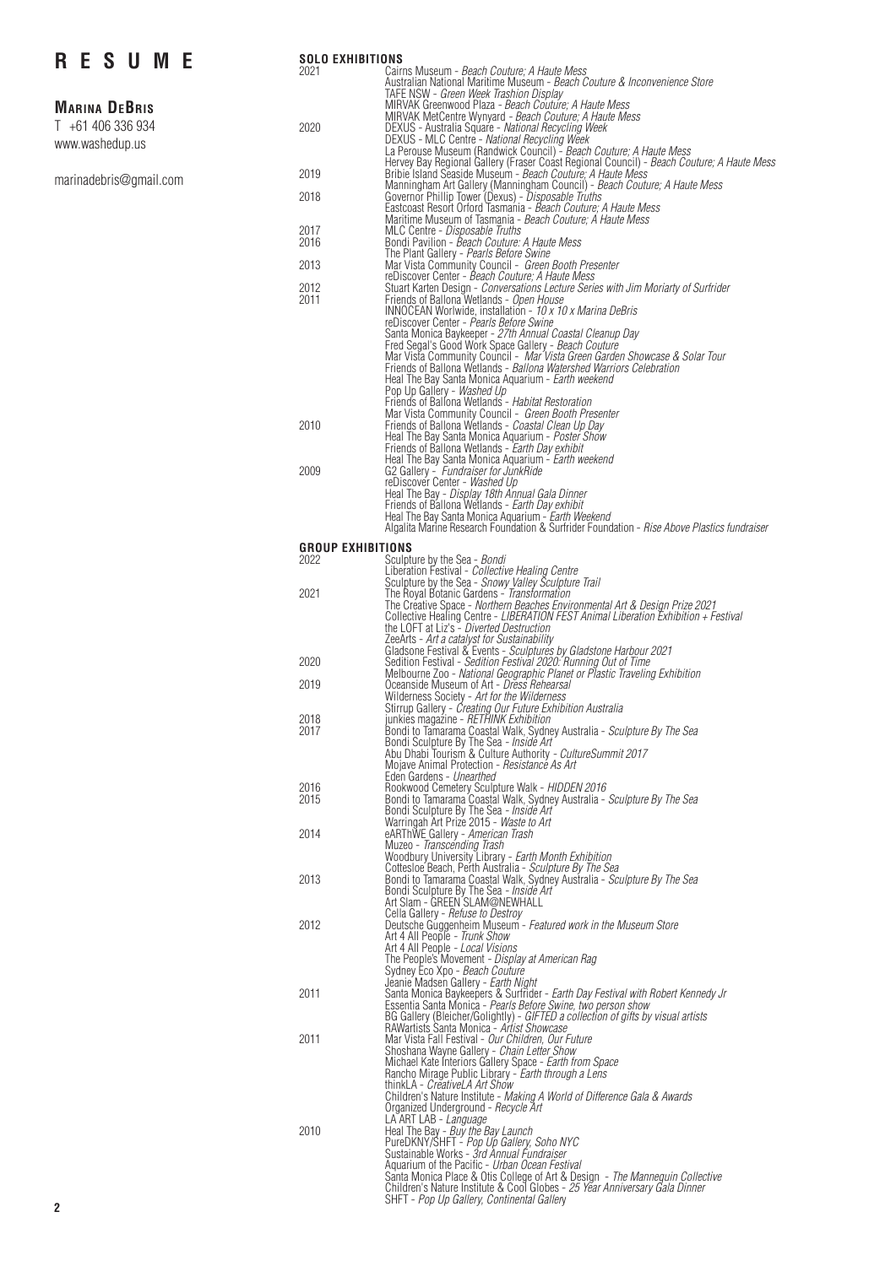# **RESUME**

### **Marina DeBris**

|  | $T + 61406336934$ |  |  |  |
|--|-------------------|--|--|--|
|  | www.washedup.us   |  |  |  |

[marinadebris@gmail.com](mailto:marinadebris@gmail.com)

| <b>SOLO EXHIBITIONS</b><br>2021  |                                                                                                                                                          |
|----------------------------------|----------------------------------------------------------------------------------------------------------------------------------------------------------|
|                                  | Cairns Museum - Beach Couture; A Haute Mess<br>Australian National Maritime Museum - Beach Couture & Inconvenience Store                                 |
|                                  | TAFE NSW - Green Week Trashion Display<br>MIRVAK Greenwood Plaza - Beach Couture; A Haute Mess                                                           |
|                                  | MIRVAK MetCentre Wynyard - Beach Couture; A Haute Mess                                                                                                   |
| 2020                             | DEXUS - Australia Square - National Recycling Week                                                                                                       |
|                                  | DEXUS - MLC Centre - National Recycling Week<br>La Perouse Museum (Randwick Council) - Beach Couture; A Haute Mess                                       |
| 2019                             | Hervey Bay Regional Gallery (Fraser Coast Regional Council) - Beach Couture; A Haute Mess                                                                |
|                                  | Bribie Island Seaside Museum - Beach Couture, A Haute Mess<br>Manningham Art Gallery (Manningham Council) - Beach Couture; A Haute Mess                  |
| 2018                             | Governor Phillip Tower (Dexus) - Disposable Truths<br>Eastcoast Resort Ortord Tasmania - Beach Couture; A Haute Mess                                     |
|                                  | Maritime Museum of Tasmania - Beach Couture; A Haute Mess                                                                                                |
| 2017<br>2016                     | MLC Centre - Disposable Truths<br>Bondi Pavilion - Beach Couture: A Haute Mess                                                                           |
|                                  | The Plant Gallery - Pearls Before Swine                                                                                                                  |
| 2013                             | Mar Vista Community Council - Green Booth Presenter                                                                                                      |
| 2012                             | reDiscover Center - Beach Couture; A Haute Mess<br>Stuart Karten Design - Conversations Lecture Series with Jim Moriarty of Surfrider                    |
| 2011                             | Friends of Ballona Wetlands - Open House                                                                                                                 |
|                                  | INNOCEAN Worlwide, installation - 10 x 10 x Marina DeBris<br>reDiscover Center - Pearls Before Swine                                                     |
|                                  | Santa Monica Baykeeper - 27th Annual Coastal Cleanup Day                                                                                                 |
|                                  | Fred Segal's Good Work Space Gallery - Beach Couture<br>Mar Vista Community Council - Mar Vista Green Garden Showcase & Solar Tour                       |
|                                  | Friends of Ballona Wetlands - Ballona Watershed Warriors Celebration                                                                                     |
|                                  | Heal The Bay Santa Monica Aquarium - Earth weekend<br>Pop Up Gallery - Washed Up                                                                         |
|                                  | Friends of Ballona Wetlands - Habitat Restoration                                                                                                        |
| 2010                             | Mar Vista Community Council - Green Booth Presenter<br>Friends of Ballona Wetlands - Coastal Clean Up Day                                                |
|                                  | Heal The Bay Santa Monica Aquarium - Poster Show                                                                                                         |
|                                  | Friends of Ballona Wetlands - Earth Day exhibit                                                                                                          |
| 2009                             | Heal The Bay Santa Monica Aquarium - Earth weekend<br>G2 Gallery - Fundraiser for JunkRide                                                               |
|                                  | reDiscover Center - Washed Up                                                                                                                            |
|                                  | Heal The Bay - Display 18th Annual Gala Dinner<br>Friends of Ballona Wetlands - Earth Day exhibit                                                        |
|                                  | Heal The Bay Santa Monica Aquarium - Earth Weekend                                                                                                       |
|                                  | Algalita Marine Research Foundation & Surfrider Foundation - Rise Above Plastics fundraiser                                                              |
| <b>GROUP EXHIBITIONS</b><br>2022 | Sculpture by the Sea - Bondi                                                                                                                             |
|                                  | Liberation Festival - Collective Healing Centre                                                                                                          |
| 2021                             | Sculpture by the Sea - Snowy Valley Sculpture Trail<br>The Royal Botanic Gardens - Transformation                                                        |
|                                  | The Creative Space - Northern Beaches Environmental Art & Design Prize 2021                                                                              |
|                                  | Collective Healing Centre - LIBERATION FEST Animal Liberation Exhibition + Festival<br>the LOFT at Liz's - Diverted Destruction                          |
|                                  | ZeeArts - Art a catalyst for Sustainability                                                                                                              |
| 2020                             | Gladsone Festival & Events - Sculptures by Gladstone Harbour 2021                                                                                        |
|                                  | Sedition Festival - Sedition Festival 2020: Running Out of Time<br>Melbourne Zoo - National Geographic Planet or Plastic Traveling Exhibition            |
| 2019                             | Oceanside Museum of Art - Dress Rehearsal                                                                                                                |
|                                  | Wilderness Society - Art for the Wilderness<br>Stirrup Gallery - Creating Our Future Exhibition Australia                                                |
| 2018                             | junkies magazine - <i>RETHINK Exhibition</i>                                                                                                             |
| 2017                             | Bondi to Tamarama Coastal Walk, Sydney Australia - Sculpture By The Sea<br>Bondi Sculpture By The Sea - Inside Art                                       |
|                                  | Abu Dhabi Tourism & Culture Authority - CultureSummit 2017                                                                                               |
|                                  | Mojave Animal Protection - Resistance As Art<br>Eden Gardens - Unearthed                                                                                 |
| 2016                             | Rookwood Cemetery Sculpture Walk - HIDDEN 2016<br>Bondi to Tamarama Coastal Walk, Sydney Australia - Sculpture By The Sea                                |
| 2015                             | Bondi Sculpture By The Sea - Inside Art                                                                                                                  |
|                                  | Warringah Art Prize 2015 - Waste to Art                                                                                                                  |
| 2014                             | eARThWE Gallery - American Trash<br>Muzeo - Transcending Trash                                                                                           |
|                                  | Woodbury University Library - Earth Month Exhibition                                                                                                     |
| 2013                             | Cottesloe Beach, Perth Australia - Sculpture By The Sea<br>Bondi to Tamarama Coastal Walk, Sydney Australia - Sculpture By The Sea                       |
|                                  | Bondi Sculpture By The Sea - Insidé Art                                                                                                                  |
|                                  | Art Slam - GREEN SLAM@NEWHALL                                                                                                                            |
| 2012                             | Cella Gallery - Refuse to Destroy<br>Deutsche Guggenheim Museum - Featured work in the Museum Store                                                      |
|                                  | Art 4 All People - Trunk Show                                                                                                                            |
|                                  | Art 4 All People - Local Visions<br>The People's Movement - Display at American Rag                                                                      |
|                                  | Sydney Eco Xpo - Beach Couture                                                                                                                           |
| 2011                             | Jeanie Madsen Gallery - Earth Night<br>Santa Monica Baykeepers & Surfrider - Earth Day Festival with Robert Kennedy Jr                                   |
|                                  | Essentia Santa Monica - Pearls Before Swine, two person show                                                                                             |
|                                  | RAWartists Santa Monica - Artist Showcase                                                                                                                |
| 2011                             | Mar Vista Fall Festival - Our Children, Our Future                                                                                                       |
|                                  | Shoshana Wayne Gallery - Chain Letter Show<br>Michael Kate Interiors Gallery Space - Earth from Space                                                    |
|                                  | Rancho Mirage Public Library - Earth through a Lens                                                                                                      |
|                                  | thinkLA - CreativeLA Art Show                                                                                                                            |
|                                  | Children's Nature Institute - Making A World of Difference Gala & Awards<br>Organized Underground - Recycle Art                                          |
|                                  | LA ART LAB - <i>Language</i>                                                                                                                             |
| 2010                             | Heal The Bay - <i>Buy the Bay Launch</i><br>PureDKNY/SHFT - <i>Pop Up Gallery, Soho NYC</i>                                                              |
|                                  | Sustainable Works - 3rd Annual Fundraiser                                                                                                                |
|                                  | Aquarium of the Pacific - Urban Ocean Festival                                                                                                           |
|                                  | Santa Monica Place & Otis College of Art & Design - The Mannequin Collective Children's Nature Institute & Cool Globes - 25 Year Anniversary Gala Dinner |
|                                  | SHFT - Pop Up Gallery, Continental Gallery                                                                                                               |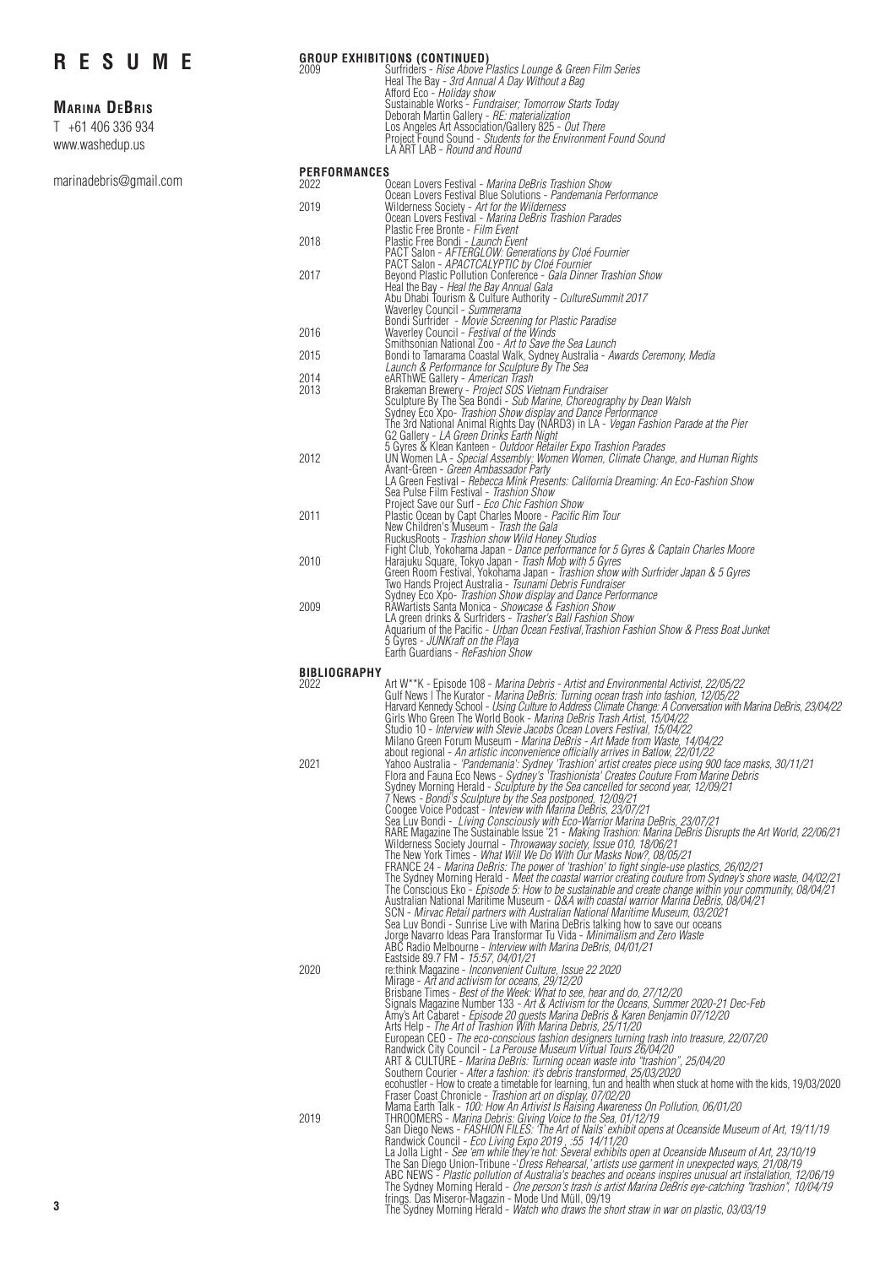### **Marina DeBris**

T +61 406 336 934 [www.washedup.us](http://www.washedup.us/)

[marinadebris@gmail.com](mailto:marinadebris@gmail.com)

|      | GROUP EXHIBITIONS (CONTINUED)                                                                                                                                                                                                                                                                                                                                                      |
|------|------------------------------------------------------------------------------------------------------------------------------------------------------------------------------------------------------------------------------------------------------------------------------------------------------------------------------------------------------------------------------------|
| 2009 | Surfriders - Rise Above Plastics Lounge & Green Film Series<br>Heal The Bay - 3rd Annual A Day Without a Bag<br>Afford Eco - <i>Holiday show</i><br>Sustainable Works - Fundraiser: Tomorrow Starts Today<br>Deborah Martin Gallery - RE: materialization<br>Los Angeles Art Association/Gallery 825 - Out There<br>Project Found Sound - Students for the Environment Found Sound |
|      | LA ART LAB - Round and Round                                                                                                                                                                                                                                                                                                                                                       |
|      |                                                                                                                                                                                                                                                                                                                                                                                    |

#### **PERFORMANCES**

| 2022 | .  v<br>Ocean Lovers Festival - Marina DeBris Trashion Show                                                                        |
|------|------------------------------------------------------------------------------------------------------------------------------------|
|      | Ocean Lovers Festival Blue Solutions - Pandemania Performance                                                                      |
| 2019 | Wilderness Society - Art for the Wilderness                                                                                        |
|      | Ocean Lovers Festival - Marina DeBris Trashion Parades                                                                             |
|      | Plastic Free Bronte - Film Event                                                                                                   |
| 2018 | Plastic Free Bondi - Launch Event                                                                                                  |
|      | PACT Salon - AFTERGLOW: Generations by Cloé Fournier                                                                               |
|      | PACT Salon - APACTCALYPTIC by Cloé Fournier                                                                                        |
| 2017 | Beyond Plastic Pollution Conference - Gala Dinner Trashion Show                                                                    |
|      | Heal the Bay - Heal the Bay Annual Gala                                                                                            |
|      | Abu Dhabi Tourism & Culture Authority - CultureSummit 2017                                                                         |
|      | Waverley Council - Summerama                                                                                                       |
|      | Bondi Surfrider - Movie Screening for Plastic Paradise                                                                             |
| 2016 | Waverley Council - Festival of the Winds                                                                                           |
|      | Smithsonian National Zoo - Art to Save the Sea Launch                                                                              |
| 2015 | Bondi to Tamarama Coastal Walk, Sydney Australia - Awards Ceremony, Media                                                          |
|      | Launch & Performance for Sculpture By The Sea                                                                                      |
| 2014 | eARThWE Gallery - American Trash                                                                                                   |
| 2013 | Brakeman Brewery - Project SOS Vietnam Fundraiser                                                                                  |
|      | Sculpture By The Sea Bondi - Sub Marine, Choreography by Dean Walsh<br>Sydney Eco Xpo- Trashion Show display and Dance Performance |
|      | The 3rd National Animal Rights Day (NARD3) in LA - Vegan Fashion Parade at the Pier                                                |
|      | G2 Gallery - LA Green Drinks Earth Night                                                                                           |
|      | 5 Gyres & Klean Kanteen - Outdoor Retailer Expo Trashion Parades                                                                   |
| 2012 | UN Women LA - Special Assembly: Women Women, Climate Change, and Human Rights                                                      |
|      | Avant-Green - <i>Green Ambassador Party</i>                                                                                        |
|      | LA Green Festival - Rebecca Mink Presents: California Dreaming: An Eco-Fashion Show                                                |
|      | Sea Pulse Film Festival - Trashion Show                                                                                            |
|      | Project Save our Surf - Eco Chic Fashion Show                                                                                      |
| 2011 | Plastic Ocean by Capt Charles Moore - Pacific Rim Tour                                                                             |
|      | New Children's Museum - Trash the Gala                                                                                             |
|      | RuckusRoots - Trashion show Wild Honey Studios                                                                                     |
|      | Fight Club, Yokohama Japan - Dance performance for 5 Gyres & Captain Charles Moore                                                 |
| 2010 | Harajuku Square, Tokyo Japan - Trash Mob with 5 Gyres                                                                              |
|      | Green Room Festival, Yokohama Japan - Trashion show with Surfrider Japan & 5 Gyres                                                 |
|      | Two Hands Project Australia - <i>Tsunami Debris Fundraiser</i>                                                                     |
| 2009 | Sydney Eco Xpo- Trashion Show display and Dance Performance                                                                        |
|      | RAWartists Santa Monica - Showcase & Fashion Show<br>LA green drinks & Surfriders - Trasher's Ball Fashion Show                    |
|      | Aquarium of the Pacific - Urban Ocean Festival, Trashion Fashion Show & Press Boat Junket                                          |
|      | 5 Gyres - JUNKraft on the Playa                                                                                                    |
|      | Earth Guardians - ReFashion Show                                                                                                   |
|      |                                                                                                                                    |

| BIBLIOGRAPHY |                                                                                                                                                                                                                                                                                                                                                                                                                                                                                                                                                                                                                                                                                                                                                                                                                                                                                                                                                                                                                                                                                                                                                                                                                                                                                                                                                                                                                                                                                                                                           |
|--------------|-------------------------------------------------------------------------------------------------------------------------------------------------------------------------------------------------------------------------------------------------------------------------------------------------------------------------------------------------------------------------------------------------------------------------------------------------------------------------------------------------------------------------------------------------------------------------------------------------------------------------------------------------------------------------------------------------------------------------------------------------------------------------------------------------------------------------------------------------------------------------------------------------------------------------------------------------------------------------------------------------------------------------------------------------------------------------------------------------------------------------------------------------------------------------------------------------------------------------------------------------------------------------------------------------------------------------------------------------------------------------------------------------------------------------------------------------------------------------------------------------------------------------------------------|
| 2022         | Art W**K - Episode 108 - Marina Debris - Artist and Environmental Activist, 22/05/22                                                                                                                                                                                                                                                                                                                                                                                                                                                                                                                                                                                                                                                                                                                                                                                                                                                                                                                                                                                                                                                                                                                                                                                                                                                                                                                                                                                                                                                      |
|              | Gulf News I The Kurator - Marina DeBris: Turning ocean trash into fashion, 12/05/22<br>Harvard Kennedy School - Using Culture to Address Climate Change: A Conversation with Marina DeBris, 23/04/22<br>Girls Who Green The World Book - Marina DeBris Trash Artist, 15/04/22<br>Studio 10 - Interview with Stevie Jacobs Ocean Lovers Festival, 15/04/22<br>Milano Green Forum Museum - Marina DeBris - Art Made from Waste, 14/04/22<br>about regional - An artistic inconvenience officially arrives in Batlow, 22/01/22                                                                                                                                                                                                                                                                                                                                                                                                                                                                                                                                                                                                                                                                                                                                                                                                                                                                                                                                                                                                               |
| 2021         | 11/21 Yahoo Australia - 'Pandemania': Sydney 'Trashion' artist creates piece using 900 face masks, 30/11/21<br>Flora and Fauna Eco News - Sydney's 'Trashionista' Creates Couture From Marine Debris<br>Sydney Morning Herald - Sculpture by the Sea cancelled for second year, 12/09/21<br>7 News - Bondi's Sculpture by the Sea postponed, 12/09/21<br>Coogee Voice Podcast - Inteview with Marina DeBris, 23/07/21<br>Sea Luv Bondi - Living Consciously with Eco-Warrior Marina DeBris, 23/07/21<br>RARE Magazine The Sustainable Issue '21 - Making Trashion: Marina DeBris Disrupts the Art World, 22/06/21<br>Wilderness Society Journal - Throwaway society, Issue 010, 18/06/21<br>The New York Times - What Will We Do With Our Masks Now?, 08/05/21<br>FRANCE 24 - Marina DeBris: The power of 'trashion' to fight single-use plastics, 26/02/21<br>The Sydney Morning Herald - Meet the coastal warrior creating couture from Sydney's shore waste, 04/02/21<br>The Conscious Eko - Episode 5: How to be sustainable and create change within your community, 08/04/21<br>Australian National Maritime Museum - Q&A with coastal warrior Marina DeBris, 08/04/21<br>SCN - Mirvac Retail partners with Australian National Maritime Museum, 03/2021<br>Sea Luv Bondi - Sunrise Live with Marina DeBris talking how to save our oceans<br>Jorge Navarro Ideas Para Transformar Tu Vida - <i>Minimalism and Zero Waste</i><br>ABC Radio Melbourne - Interview with Marina DeBris, 04/01/21<br>Eastside 89.7 FM - 15:57, 04/01/21 |
| 2020         | re:think Magazine - <i>Inconvenient Culture, Issue 22 2020</i><br>Mirage - Art and activism for oceans, 29/12/20<br>Brisbane Times - Best of the Week: What to see, hear and do, 27/12/20<br>Signals Magazine Number 133 - Art & Activism for the Oceans, Summer 2020-21 Dec-Feb<br>Amy's Art Cabaret - Episode 20 guests Marina DeBris & Karen Benjamin 07/12/20<br>Arts Help - The Art of Trashion With Marina Debris, 25/11/20<br>European CEO - The eco-conscious fashion designers turning trash into treasure, 22/07/20<br>Randwick City Council - La Perouse Museum Virtual Tours 26/04/20<br>ART & CULTURE - Marina DeBris: Turning ocean waste into "trashion", 25/04/20<br>Southern Courier - After a fashion: it's debris transformed, 25/03/2020<br>ecohustler - How to create a timetable for learning, fun and health when stuck at home with the kids, 19/03/2020<br>Fraser Coast Chronicle - Trashion art on display, 07/02/20<br>Mama Earth Talk - 100: How An Artivist Is Raising Awareness On Pollution, 06/01/20                                                                                                                                                                                                                                                                                                                                                                                                                                                                                                      |
| 2019         | THROOMERS - Marina Debris: Giving Voice to the Sea, 01/12/19<br>San Diego News - FASHION FILES: 'The Art of Nails' exhibit opens at Oceanside Museum of Art, 19/11/19<br>Randwick Council - Eco Living Expo 2019, :55 14/11/20<br>La Jolla Light - See 'em while they're hot: Several exhibits open at Oceanside Museum of Art, 23/10/19<br>The San Diego Union-Tribune - Dress Rehearsal, artists use garment in unexpected ways, 21/08/19<br>ABC NEWS - Plastic pollution of Australia's beaches and oceans inspires unusual art installation, 12/06/19<br>The Sydney Morning Herald - One person's trash is artist Marina DeBris eye-catching "trashion", 10/04/19<br>frings. Das Miseror-Magazin - Mode Und Müll, 09/19<br>The Sydney Morning Herald - Watch who draws the short straw in war on plastic, 03/03/19                                                                                                                                                                                                                                                                                                                                                                                                                                                                                                                                                                                                                                                                                                                    |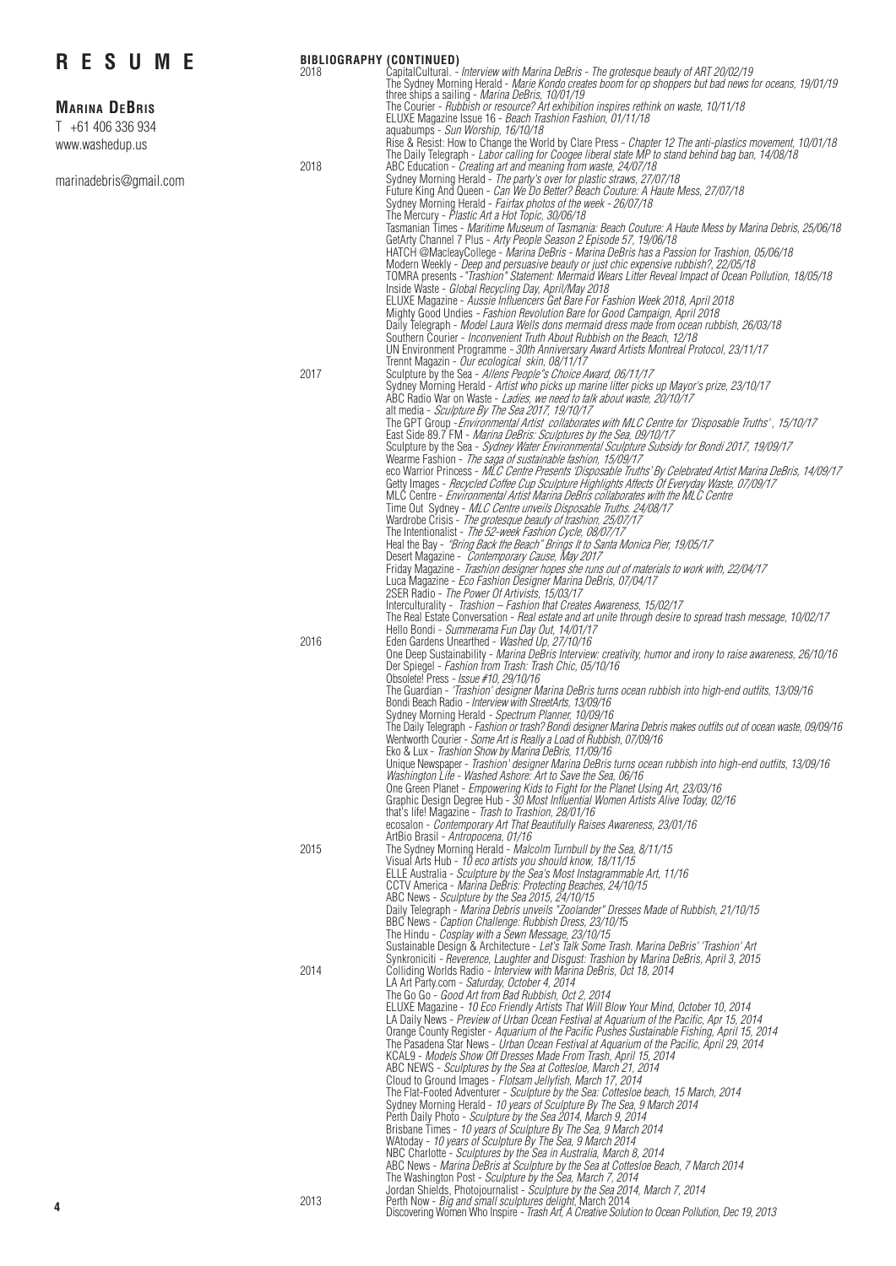| <b>RESUME</b>                             | 2018 | <b>BIBLIOGRAPHY (CONTINUED)</b><br>CapitalCultural. - Interview with Marina DeBris - The grotesque beauty of ART 20/02/19<br>The Sydney Morning Herald - Marie Kondo creates boom for op shoppers but bad news for oceans, 19/01/19                                                                                                                                                                                                                                                                                                                                                                                                                                                                                                                                                                                                                                                                                                                                                                              |
|-------------------------------------------|------|------------------------------------------------------------------------------------------------------------------------------------------------------------------------------------------------------------------------------------------------------------------------------------------------------------------------------------------------------------------------------------------------------------------------------------------------------------------------------------------------------------------------------------------------------------------------------------------------------------------------------------------------------------------------------------------------------------------------------------------------------------------------------------------------------------------------------------------------------------------------------------------------------------------------------------------------------------------------------------------------------------------|
| <b>MARINA DEBRIS</b><br>T +61 406 336 934 |      | three ships a sailing - Marina DeBris, 10/01/19<br>The Courier - Rubbish or resource? Art exhibition inspires rethink on waste, 10/11/18<br>ELUXE Magazine Issue 16 - Beach Trashion Fashion, 01/11/18<br>aquabumps - Sun Worship, 16/10/18                                                                                                                                                                                                                                                                                                                                                                                                                                                                                                                                                                                                                                                                                                                                                                      |
| www.washedup.us                           | 2018 | Rise & Resist: How to Change the World by Clare Press - Chapter 12 The anti-plastics movement, 10/01/18<br>The Daily Telegraph - Labor calling for Coogee liberal state MP to stand behind bag ban, 14/08/18<br>ABC Education - Creating art and meaning from waste, 24/07/18                                                                                                                                                                                                                                                                                                                                                                                                                                                                                                                                                                                                                                                                                                                                    |
| marinadebris@gmail.com                    |      | Sydney Morning Herald - The party's over for plastic straws, 27/07/18<br>Future King And Queen - Can We Do Better? Beach Couture: A Haute Mess, 27/07/18<br>Sydney Morning Herald - Fairfax photos of the week - 26/07/18<br>The Mercury - Plastic Art a Hot Topic, 30/06/18                                                                                                                                                                                                                                                                                                                                                                                                                                                                                                                                                                                                                                                                                                                                     |
|                                           |      | Tasmanian Times - Maritime Museum of Tasmania: Beach Couture: A Haute Mess by Marina Debris, 25/06/18<br>GetArty Channel 7 Plus - Arty People Season 2 Episode 57, 19/06/18<br>HATCH @MacleayCollege - Marina DeBris - Marina DeBris has a Passion for Trashion, 05/06/18<br>Modern Weekly - Deep and persuasive beauty or just chic expensive rubbish?, 22/05/18<br>TOMRA presents - "Trashion" Statement: Mermaid Wears Litter Reveal Impact of Ocean Pollution, 18/05/18                                                                                                                                                                                                                                                                                                                                                                                                                                                                                                                                      |
|                                           |      | Inside Waste - Global Recycling Day, April/May 2018<br>ELUXE Magazine - Aussie Influencers Get Bare For Fashion Week 2018, April 2018<br>Mighty Good Undies - Fashion Revolution Bare for Good Campaign, April 2018<br>Daily Telegraph - Model Laura Wells dons mermaid dress made from ocean rubbish, 26/03/18<br>Southern Courier - Inconvenient Truth About Rubbish on the Beach, 12/18<br>UN Environment Programme - 30th Anniversary Award Artists Montreal Protocol, 23/11/17                                                                                                                                                                                                                                                                                                                                                                                                                                                                                                                              |
|                                           | 2017 | Trennt Magazin - Our ecological skin, 08/11/17<br>Sculpture by the Sea - Allens People"s Choice Award, 06/11/17<br>Sydney Morning Herald - Artist who picks up marine litter picks up Mayor's prize, 23/10/17<br>ABC Radio War on Waste - Ladies, we need to talk about waste, 20/10/17<br>alt media - Sculpture By The Sea 2017, 19/10/17                                                                                                                                                                                                                                                                                                                                                                                                                                                                                                                                                                                                                                                                       |
|                                           |      | The GPT Group - Environmental Artist collaborates with MLC Centre for 'Disposable Truths', 15/10/17<br>East Side 89.7 FM - Marina DeBris: Sculptures by the Sea, 09/10/17<br>Sculpture by the Sea - Sydney Water Environmental Sculpture Subsidy for Bondi 2017, 19/09/17<br>Wearme Fashion - The saga of sustainable fashion, 15/09/17                                                                                                                                                                                                                                                                                                                                                                                                                                                                                                                                                                                                                                                                          |
|                                           |      | eco Warrior Princess - MLC Centre Presents 'Disposable Truths' By Celebrated Artist Marina DeBris, 14/09/17<br>Getty Images - Recycled Coffee Cup Sculpture Highlights Affects Of Everyday Waste, 07/09/17<br>MLC Centre - Environmental Artist Marina DeBris collaborates with the MLC Centre<br>Time Out Sydney - MLC Centre unveils Disposable Truths. 24/08/17<br>Wardrobe Crisis - The grotesque beauty of trashion, 25/07/17                                                                                                                                                                                                                                                                                                                                                                                                                                                                                                                                                                               |
|                                           |      | The Intentionalist - The 52-week Fashion Cycle, 08/07/17<br>Heal the Bay - "Bring Back the Beach" Brings It to Santa Monica Pier, 19/05/17<br>Desert Magazine - Contemporary Cause, May 2017                                                                                                                                                                                                                                                                                                                                                                                                                                                                                                                                                                                                                                                                                                                                                                                                                     |
|                                           |      | Friday Magazine - Trashion designer hopes she runs out of materials to work with, 22/04/17<br>Luca Magazine - Eco Fashion Designer Marina DeBris, 07/04/17<br>2SER Radio - The Power Of Artivists, 15/03/17<br>Interculturality - Trashion - Fashion that Creates Awareness, 15/02/17                                                                                                                                                                                                                                                                                                                                                                                                                                                                                                                                                                                                                                                                                                                            |
|                                           | 2016 | The Real Estate Conversation - Real estate and art unite through desire to spread trash message, 10/02/17<br>Hello Bondi - Summerama Fun Day Out, 14/01/17<br>Eden Gardens Unearthed - Washed Up, 27/10/16<br>One Deep Sustainability - Marina DeBris Interview: creativity, humor and irony to raise awareness, 26/10/16                                                                                                                                                                                                                                                                                                                                                                                                                                                                                                                                                                                                                                                                                        |
|                                           |      | Der Spiegel - Fashion from Trash: Trash Chic, 05/10/16<br>Obsolete! Press - Issue #10, 29/10/16<br>The Guardian - 'Trashion' designer Marina DeBris turns ocean rubbish into high-end outfits, 13/09/16<br>Bondi Beach Radio - Interview with StreetArts, 13/09/16                                                                                                                                                                                                                                                                                                                                                                                                                                                                                                                                                                                                                                                                                                                                               |
|                                           |      | Sydney Morning Herald - Spectrum Planner, 10/09/16<br>The Daily Telegraph - Fashion or trash? Bondi designer Marina Debris makes outfits out of ocean waste, 09/09/16<br>Wentworth Courier - Some Art is Really a Load of Rubbish, 07/09/16<br>Eko & Lux - Trashion Show by Marina DeBris, 11/09/16                                                                                                                                                                                                                                                                                                                                                                                                                                                                                                                                                                                                                                                                                                              |
|                                           |      | Unique Newspaper - Trashion' designer Marina DeBris turns ocean rubbish into high-end outfits, 13/09/16<br>Washington Life - Washed Ashore: Art to Save the Sea, 06/16<br>One Green Planet - Empowering Kids to Fight for the Planet Using Art, 23/03/16<br>Graphic Design Degree Hub - 30 Most Influential Women Artists Alive Today, 02/16<br>that's life! Magazine - Trash to Trashion, 28/01/16                                                                                                                                                                                                                                                                                                                                                                                                                                                                                                                                                                                                              |
|                                           | 2015 | ecosalon - Contemporary Art That Beautifully Raises Awareness, 23/01/16<br>ArtBio Brasil - Antropocena, 01/16<br>The Sydney Morning Herald - Malcolm Turnbull by the Sea, 8/11/15<br>Visual Arts Hub - 10 eco artists you should know, 18/11/15                                                                                                                                                                                                                                                                                                                                                                                                                                                                                                                                                                                                                                                                                                                                                                  |
|                                           |      | ELLE Australia - Sculpture by the Sea's Most Instagrammable Art, 11/16<br>CCTV America - Marina DeBris: Protecting Beaches, 24/10/15<br>ABC News - Sculpture by the Sea 2015, 24/10/15<br>Daily Telegraph - Marina Debris unveils "Zoolander" Dresses Made of Rubbish, 21/10/15<br>BBC News - Caption Challenge: Rubbish Dress, 23/10/15<br>The Hindu - Cosplay with a Sewn Message, 23/10/15<br>Sustainable Design & Architecture - Let's Talk Some Trash. Marina DeBris' 'Trashion' Art                                                                                                                                                                                                                                                                                                                                                                                                                                                                                                                        |
|                                           | 2014 | Synkroniciti - Reverence, Laughter and Disgust: Trashion by Marina DeBris, April 3, 2015<br>Colliding Worlds Radio - Interview with Marina DeBris, Oct 18, 2014<br>LA Art Party.com - Saturday, October 4, 2014<br>The Go Go - Good Art from Bad Rubbish, Oct 2, 2014                                                                                                                                                                                                                                                                                                                                                                                                                                                                                                                                                                                                                                                                                                                                            |
|                                           |      | ELUXE Magazine - 10 Eco Friendly Artists That Will Blow Your Mind, October 10, 2014<br>LA Daily News - Preview of Urban Ocean Festival at Aquarium of the Pacific, Apr 15, 2014<br>Orange County Register - Aquarium of the Pacific Pushes Sustainable Fishing, April 15, 2014<br>The Pasadena Star News - Urban Ocean Festival at Aquarium of the Pacific, April 29, 2014<br>KCAL9 - Models Show Off Dresses Made From Trash, April 15, 2014<br>ABC NEWS - Sculptures by the Sea at Cottesloe, March 21, 2014<br>Cloud to Ground Images - Flotsam Jellyfish, March 17, 2014<br>The Flat-Footed Adventurer - Sculpture by the Sea: Cottesloe beach, 15 March, 2014<br>Sydney Morning Herald - 10 years of Sculpture By The Sea, 9 March 2014<br>Perth Daily Photo - Sculpture by the Sea 2014, March 9, 2014<br>Brisbane Times - 10 years of Sculpture By The Sea, 9 March 2014<br>WAtoday - 10 years of Sculpture By The Sea, 9 March 2014<br>NBC Charlotte - Sculptures by the Sea in Australia, March 8, 2014 |
| 4                                         | 2013 | ABC News - Marina DeBris at Sculpture by the Sea at Cottesloe Beach, 7 March 2014<br>The Washington Post - Sculpture by the Sea, March 7, 2014<br>Jordan Shields, Photojournalist - Sculpture by the Sea 2014, March 7, 2014<br>Perth Now - Big and small sculptures delight, March 2014<br>Discovering Women Who Inspire - Trash Art, A Creative Solution to Ocean Pollution, Dec 19,                                                                                                                                                                                                                                                                                                                                                                                                                                                                                                                                                                                                                           |